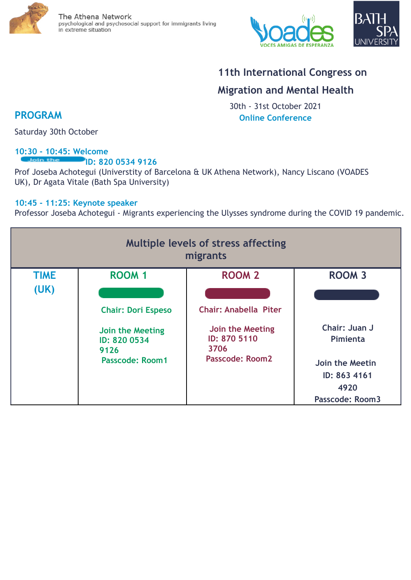





# **11th International Congress on**

## **Migration and Mental Health**

30th - 31st October 2021 **Online Conference**

**PROGRAM**

Saturday 30th October

#### **10:30 - 10:45: Welcome** Join the **ID: 820 0534 9126**

Prof Joseba Achotegui (Universtity of Barcelona & UK Athena Network), Nancy Liscano (VOADES UK), Dr Agata Vitale (Bath Spa University)

#### **10:45 - 11:25: Keynote speaker**

Professor Joseba Achotegui - Migrants experiencing the Ulysses syndrome during the COVID 19 pandemic.

| <b>Multiple levels of stress affecting</b><br>migrants |                                                                                                 |                                                                                             |                                                                                                |  |
|--------------------------------------------------------|-------------------------------------------------------------------------------------------------|---------------------------------------------------------------------------------------------|------------------------------------------------------------------------------------------------|--|
| <b>TIME</b>                                            | <b>ROOM 1</b>                                                                                   | <b>ROOM 2</b>                                                                               | <b>ROOM 3</b>                                                                                  |  |
| (UK)                                                   | <b>Chair: Dori Espeso</b><br>Join the Meeting<br>ID: 820 0534<br>9126<br><b>Passcode: Room1</b> | <b>Chair: Anabella Piter</b><br>Join the Meeting<br>ID: 870 5110<br>3706<br>Passcode: Room2 | Chair: Juan J<br>Pimienta<br>Join the Meetin<br>ID: 863 4161<br>4920<br><b>Passcode: Room3</b> |  |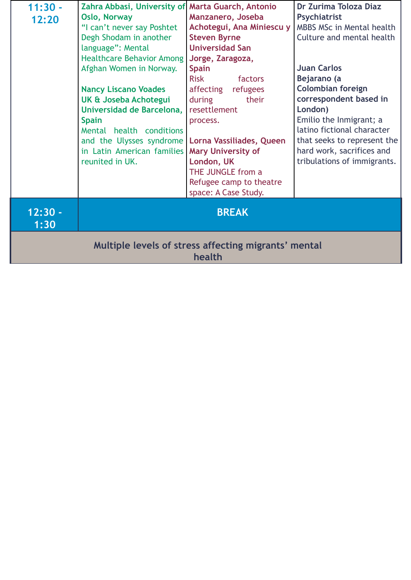| $11:30 -$                                            | Zahra Abbasi, University of Marta Guarch, Antonio |                           | Dr Zurima Toloza Diaz       |  |
|------------------------------------------------------|---------------------------------------------------|---------------------------|-----------------------------|--|
| 12:20                                                | <b>Oslo, Norway</b>                               | Manzanero, Joseba         | <b>Psychiatrist</b>         |  |
|                                                      | "I can't never say Poshtet                        | Achotegui, Ana Miniescu y | MBBS MSc in Mental health   |  |
|                                                      | Degh Shodam in another                            | <b>Steven Byrne</b>       | Culture and mental health   |  |
|                                                      | language": Mental                                 | <b>Universidad San</b>    |                             |  |
|                                                      | <b>Healthcare Behavior Among</b>                  | Jorge, Zaragoza,          |                             |  |
|                                                      | Afghan Women in Norway.                           | <b>Spain</b>              | <b>Juan Carlos</b>          |  |
|                                                      |                                                   | <b>Risk</b><br>factors    | Bejarano (a                 |  |
|                                                      | <b>Nancy Liscano Voades</b>                       | affecting<br>refugees     | <b>Colombian foreign</b>    |  |
|                                                      | UK & Joseba Achotegui                             | their<br>during           | correspondent based in      |  |
|                                                      | Universidad de Barcelona,                         | resettlement              | London)                     |  |
|                                                      | <b>Spain</b>                                      | process.                  | Emilio the Inmigrant; a     |  |
|                                                      | Mental health conditions                          |                           | latino fictional character  |  |
|                                                      | and the Ulysses syndrome                          | Lorna Vassiliades, Queen  | that seeks to represent the |  |
|                                                      | in Latin American families                        | <b>Mary University of</b> | hard work, sacrifices and   |  |
|                                                      | reunited in UK.                                   | London, UK                | tribulations of immigrants. |  |
|                                                      |                                                   | THE JUNGLE from a         |                             |  |
|                                                      |                                                   | Refugee camp to theatre   |                             |  |
|                                                      |                                                   | space: A Case Study.      |                             |  |
|                                                      |                                                   |                           |                             |  |
| $12:30 -$                                            |                                                   | <b>BREAK</b>              |                             |  |
| 1:30                                                 |                                                   |                           |                             |  |
|                                                      |                                                   |                           |                             |  |
| Multiple levels of stress affecting migrants' mental |                                                   |                           |                             |  |
| health                                               |                                                   |                           |                             |  |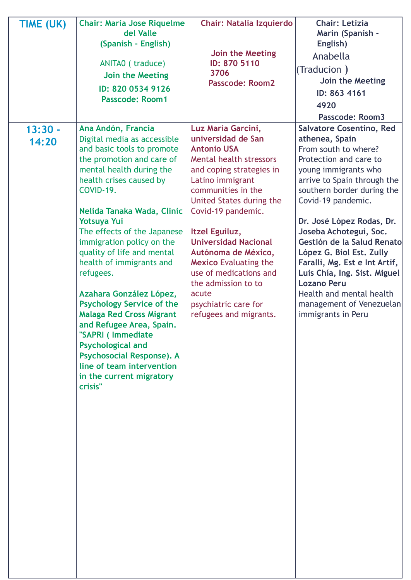| TIME (UK)          | <b>Chair: Maria Jose Riquelme</b><br>del Valle                                                                                                                                                                                                                                                                                                                                                                          | <b>Chair: Natalia Izquierdo</b>                                                                                                                                                                                  | <b>Chair: Letizia</b><br>Marin (Spanish -                                                                                                                                                                                                             |
|--------------------|-------------------------------------------------------------------------------------------------------------------------------------------------------------------------------------------------------------------------------------------------------------------------------------------------------------------------------------------------------------------------------------------------------------------------|------------------------------------------------------------------------------------------------------------------------------------------------------------------------------------------------------------------|-------------------------------------------------------------------------------------------------------------------------------------------------------------------------------------------------------------------------------------------------------|
|                    | (Spanish - English)                                                                                                                                                                                                                                                                                                                                                                                                     | Join the Meeting                                                                                                                                                                                                 | English)                                                                                                                                                                                                                                              |
|                    | ANITAO (traduce)                                                                                                                                                                                                                                                                                                                                                                                                        | ID: 870 5110                                                                                                                                                                                                     | Anabella                                                                                                                                                                                                                                              |
|                    | Join the Meeting                                                                                                                                                                                                                                                                                                                                                                                                        | 3706                                                                                                                                                                                                             | (Traducion)                                                                                                                                                                                                                                           |
|                    |                                                                                                                                                                                                                                                                                                                                                                                                                         | <b>Passcode: Room2</b>                                                                                                                                                                                           | Join the Meeting                                                                                                                                                                                                                                      |
|                    | ID: 820 0534 9126<br><b>Passcode: Room1</b>                                                                                                                                                                                                                                                                                                                                                                             |                                                                                                                                                                                                                  | ID: 863 4161                                                                                                                                                                                                                                          |
|                    |                                                                                                                                                                                                                                                                                                                                                                                                                         |                                                                                                                                                                                                                  | 4920                                                                                                                                                                                                                                                  |
|                    |                                                                                                                                                                                                                                                                                                                                                                                                                         |                                                                                                                                                                                                                  | <b>Passcode: Room3</b>                                                                                                                                                                                                                                |
| $13:30 -$<br>14:20 | Ana Andón, Francia<br>Digital media as accessible<br>and basic tools to promote<br>the promotion and care of<br>mental health during the<br>health crises caused by                                                                                                                                                                                                                                                     | Luz María Garcini,<br>universidad de San<br><b>Antonio USA</b><br>Mental health stressors<br>and coping strategies in<br>Latino immigrant                                                                        | <b>Salvatore Cosentino, Red</b><br>athenea, Spain<br>From south to where?<br>Protection and care to<br>young immigrants who<br>arrive to Spain through the                                                                                            |
|                    | COVID-19.                                                                                                                                                                                                                                                                                                                                                                                                               | communities in the<br>United States during the                                                                                                                                                                   | southern border during the<br>Covid-19 pandemic.                                                                                                                                                                                                      |
|                    | Nelida Tanaka Wada, Clinic<br><b>Yotsuya Yui</b>                                                                                                                                                                                                                                                                                                                                                                        | Covid-19 pandemic.                                                                                                                                                                                               | Dr. José López Rodas, Dr.                                                                                                                                                                                                                             |
|                    | The effects of the Japanese<br>immigration policy on the<br>quality of life and mental<br>health of immigrants and<br>refugees.<br>Azahara González López,<br><b>Psychology Service of the</b><br><b>Malaga Red Cross Migrant</b><br>and Refugee Area, Spain.<br>"SAPRI ( Immediate<br><b>Psychological and</b><br><b>Psychosocial Response). A</b><br>line of team intervention<br>in the current migratory<br>crisis" | Itzel Eguiluz,<br><b>Universidad Nacional</b><br>Autónoma de México,<br><b>Mexico Evaluating the</b><br>use of medications and<br>the admission to to<br>acute<br>psychiatric care for<br>refugees and migrants. | Joseba Achotegui, Soc.<br>Gestión de la Salud Renato<br>López G. Biol Est. Zully<br>Faralli, Mg. Est e Int Artif,<br>Luis Chía, Ing. Sist. Miguel<br><b>Lozano Peru</b><br>Health and mental health<br>management of Venezuelan<br>immigrants in Peru |
|                    |                                                                                                                                                                                                                                                                                                                                                                                                                         |                                                                                                                                                                                                                  |                                                                                                                                                                                                                                                       |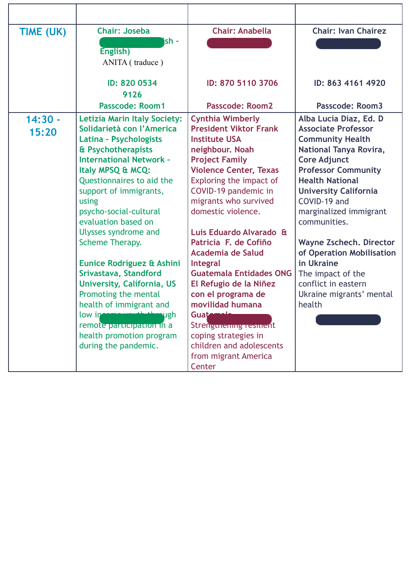| <b>Chair: Joseba</b><br><b>Chair: Anabella</b><br><b>Chair: Ivan Chairez</b><br>TIME (UK)<br>ish -<br>English)<br>ANITA (traduce)<br>ID: 870 5110 3706<br>ID: 820 0534<br>ID: 863 4161 4920<br>9126<br><b>Passcode: Room1</b><br><b>Passcode: Room2</b><br>Passcode: Room3<br><b>Cynthia Wimberly</b><br>$14:30 -$<br>Alba Lucía Díaz, Ed. D<br><b>Letizia Marin Italy Society:</b><br><b>President Viktor Frank</b><br>Solidarietà con l'America<br><b>Associate Professor</b><br>15:20<br>Latina - Psychologists<br><b>Institute USA</b><br><b>Community Health</b><br>& Psychotherapists<br>neighbour. Noah<br>National Tanya Rovira,                                                                                                                                                                                                                                                                                                                                                                                                                                                                                                                                      |                                |                       |                                                                             |
|-------------------------------------------------------------------------------------------------------------------------------------------------------------------------------------------------------------------------------------------------------------------------------------------------------------------------------------------------------------------------------------------------------------------------------------------------------------------------------------------------------------------------------------------------------------------------------------------------------------------------------------------------------------------------------------------------------------------------------------------------------------------------------------------------------------------------------------------------------------------------------------------------------------------------------------------------------------------------------------------------------------------------------------------------------------------------------------------------------------------------------------------------------------------------------|--------------------------------|-----------------------|-----------------------------------------------------------------------------|
|                                                                                                                                                                                                                                                                                                                                                                                                                                                                                                                                                                                                                                                                                                                                                                                                                                                                                                                                                                                                                                                                                                                                                                               |                                |                       |                                                                             |
|                                                                                                                                                                                                                                                                                                                                                                                                                                                                                                                                                                                                                                                                                                                                                                                                                                                                                                                                                                                                                                                                                                                                                                               |                                |                       |                                                                             |
| <b>Violence Center, Texas</b><br><b>Professor Community</b><br>Italy MPSQ & MCQ:<br><b>Health National</b><br>Questionnaires to aid the<br>Exploring the impact of<br>COVID-19 pandemic in<br>support of immigrants,<br><b>University California</b><br>COVID-19 and<br>migrants who survived<br>using<br>psycho-social-cultural<br>domestic violence.<br>marginalized immigrant<br>evaluation based on<br>communities.<br>Luis Eduardo Alvarado &<br>Ulysses syndrome and<br>Scheme Therapy.<br>Patricia F. de Cofiño<br><b>Academia de Salud</b><br>in Ukraine<br>Eunice Rodríguez & Ashini<br><b>Integral</b><br>Srivastava, Standford<br><b>Guatemala Entidades ONG</b><br>The impact of the<br>University, California, US<br>El Refugio de la Niñez<br>conflict in eastern<br>con el programa de<br>Promoting the mental<br>Ukraine migrants' mental<br>health of immigrant and<br>movilidad humana<br>health<br>low in the state of<br><b>distinguish</b><br>Guatemala<br>Strengunening resinent<br>remote participation in a<br>health promotion program<br>coping strategies in<br>during the pandemic.<br>children and adolescents<br>from migrant America<br>Center | <b>International Network -</b> | <b>Project Family</b> | <b>Core Adjunct</b><br>Wayne Zschech. Director<br>of Operation Mobilisation |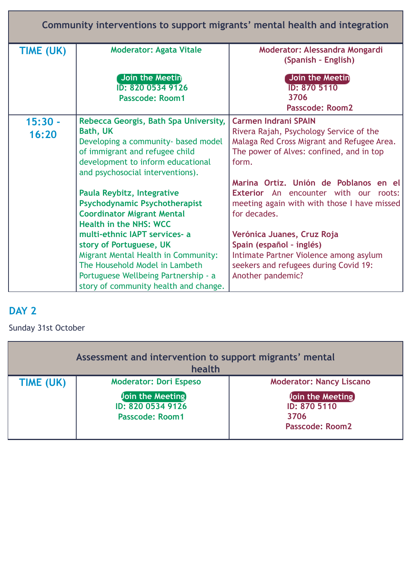| Community interventions to support migrants' mental health and integration |                                                                                                                                                                                                                    |                                                                                                                                                                           |  |  |  |
|----------------------------------------------------------------------------|--------------------------------------------------------------------------------------------------------------------------------------------------------------------------------------------------------------------|---------------------------------------------------------------------------------------------------------------------------------------------------------------------------|--|--|--|
| TIME (UK)                                                                  | <b>Moderator: Agata Vitale</b>                                                                                                                                                                                     | Moderator: Alessandra Mongardi<br>(Spanish - English)                                                                                                                     |  |  |  |
|                                                                            | Join the Meetin<br>ID: 820 0534 9126<br><b>Passcode: Room1</b>                                                                                                                                                     | Join the Meetin<br>ID: 870 5110<br>3706<br><b>Passcode: Room2</b>                                                                                                         |  |  |  |
| $15:30 -$<br>16:20                                                         | Rebecca Georgis, Bath Spa University,<br><b>Bath, UK</b><br>Developing a community- based model<br>of immigrant and refugee child<br>development to inform educational<br>and psychosocial interventions).         | <b>Carmen Indrani SPAIN</b><br>Rivera Rajah, Psychology Service of the<br>Malaga Red Cross Migrant and Refugee Area.<br>The power of Alves: confined, and in top<br>form. |  |  |  |
|                                                                            | Paula Reybitz, Integrative<br><b>Psychodynamic Psychotherapist</b><br><b>Coordinator Migrant Mental</b><br><b>Health in the NHS: WCC</b>                                                                           | Marina Ortiz. Unión de Poblanos en el<br><b>Exterior</b> An encounter with our roots:<br>meeting again with with those I have missed<br>for decades.                      |  |  |  |
|                                                                            | multi-ethnic IAPT services- a<br>story of Portuguese, UK<br>Migrant Mental Health in Community:<br>The Household Model in Lambeth<br>Portuguese Wellbeing Partnership - a<br>story of community health and change. | Verónica Juanes, Cruz Roja<br>Spain (español - inglés)<br>Intimate Partner Violence among asylum<br>seekers and refugees during Covid 19:<br>Another pandemic?            |  |  |  |

### **DAY 2**

### Sunday 31st October

| Assessment and intervention to support migrants' mental<br>health |                                                                                                         |                                                                                                       |  |
|-------------------------------------------------------------------|---------------------------------------------------------------------------------------------------------|-------------------------------------------------------------------------------------------------------|--|
| TIME (UK)                                                         | <b>Moderator: Dori Espeso</b><br><b>Join the Meeting</b><br>ID: 820 0534 9126<br><b>Passcode: Room1</b> | <b>Moderator: Nancy Liscano</b><br>Join the Meeting<br>ID: 870 5110<br>3706<br><b>Passcode: Room2</b> |  |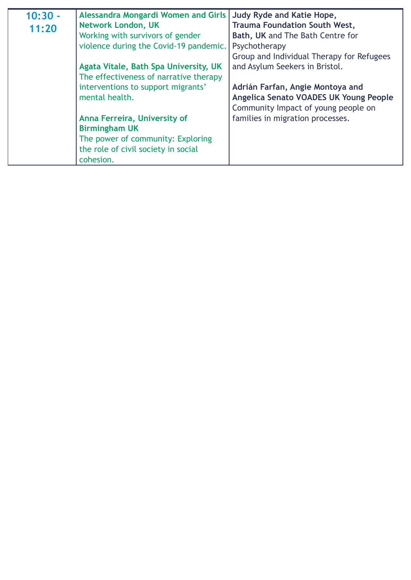| 11:20<br>Working with survivors of gender<br>Bath, UK and The Bath Centre for<br>violence during the Covid-19 pandemic.<br>Psychotherapy<br>Group and Individual Therapy for Refugees<br>and Asylum Seekers in Bristol.<br>Agata Vitale, Bath Spa University, UK<br>The effectiveness of narrative therapy<br>interventions to support migrants'<br>Adrián Farfan, Angie Montoya and<br>mental health.<br>Angelica Senato VOADES UK Young People | $10:30 -$ | Alessandra Mongardi Women and Girls | <b>Judy Ryde and Katie Hope,</b>     |
|--------------------------------------------------------------------------------------------------------------------------------------------------------------------------------------------------------------------------------------------------------------------------------------------------------------------------------------------------------------------------------------------------------------------------------------------------|-----------|-------------------------------------|--------------------------------------|
|                                                                                                                                                                                                                                                                                                                                                                                                                                                  |           | <b>Network London, UK</b>           | <b>Trauma Foundation South West,</b> |
|                                                                                                                                                                                                                                                                                                                                                                                                                                                  |           |                                     |                                      |
|                                                                                                                                                                                                                                                                                                                                                                                                                                                  |           |                                     |                                      |
|                                                                                                                                                                                                                                                                                                                                                                                                                                                  |           |                                     |                                      |
|                                                                                                                                                                                                                                                                                                                                                                                                                                                  |           |                                     |                                      |
|                                                                                                                                                                                                                                                                                                                                                                                                                                                  |           |                                     |                                      |
|                                                                                                                                                                                                                                                                                                                                                                                                                                                  |           |                                     |                                      |
|                                                                                                                                                                                                                                                                                                                                                                                                                                                  |           |                                     |                                      |
|                                                                                                                                                                                                                                                                                                                                                                                                                                                  |           |                                     | Community Impact of young people on  |
| families in migration processes.<br>Anna Ferreira, University of                                                                                                                                                                                                                                                                                                                                                                                 |           |                                     |                                      |
| <b>Birmingham UK</b>                                                                                                                                                                                                                                                                                                                                                                                                                             |           |                                     |                                      |
| The power of community: Exploring                                                                                                                                                                                                                                                                                                                                                                                                                |           |                                     |                                      |
| the role of civil society in social                                                                                                                                                                                                                                                                                                                                                                                                              |           |                                     |                                      |
| cohesion.                                                                                                                                                                                                                                                                                                                                                                                                                                        |           |                                     |                                      |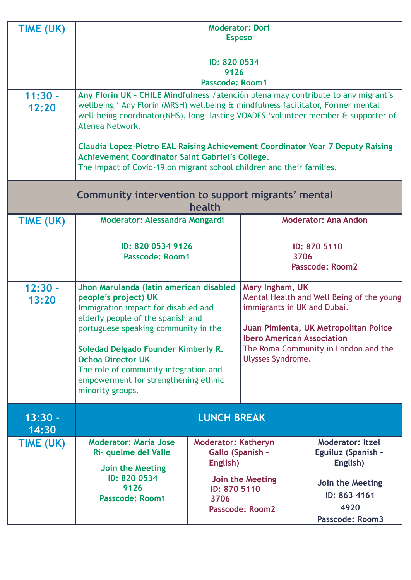| TIME (UK)          | <b>Moderator: Dori</b><br><b>Espeso</b>                                                                                                                                                                                                                                                                                                                                                                                                                                                              |                                                                                    |                                                                                                                                                                                                                                               |                                                                                                       |
|--------------------|------------------------------------------------------------------------------------------------------------------------------------------------------------------------------------------------------------------------------------------------------------------------------------------------------------------------------------------------------------------------------------------------------------------------------------------------------------------------------------------------------|------------------------------------------------------------------------------------|-----------------------------------------------------------------------------------------------------------------------------------------------------------------------------------------------------------------------------------------------|-------------------------------------------------------------------------------------------------------|
|                    | ID: 820 0534<br>9126<br><b>Passcode: Room1</b>                                                                                                                                                                                                                                                                                                                                                                                                                                                       |                                                                                    |                                                                                                                                                                                                                                               |                                                                                                       |
| $11:30 -$<br>12:20 | Any Florin UK - CHILE Mindfulness / atención plena may contribute to any migrant's<br>wellbeing ' Any Florin (MRSH) wellbeing & mindfulness facilitator, Former mental<br>well-being coordinator(NHS), long-lasting VOADES 'volunteer member & supporter of<br>Atenea Network.<br><b>Claudia Lopez-Pietro EAL Raising Achievement Coordinator Year 7 Deputy Raising</b><br>Achievement Coordinator Saint Gabriel's College.<br>The impact of Covid-19 on migrant school children and their families. |                                                                                    |                                                                                                                                                                                                                                               |                                                                                                       |
|                    | Community intervention to support migrants' mental<br>health                                                                                                                                                                                                                                                                                                                                                                                                                                         |                                                                                    |                                                                                                                                                                                                                                               |                                                                                                       |
| TIME (UK)          | Moderator: Alessandra Mongardi                                                                                                                                                                                                                                                                                                                                                                                                                                                                       |                                                                                    | <b>Moderator: Ana Andon</b>                                                                                                                                                                                                                   |                                                                                                       |
|                    | ID: 820 0534 9126<br><b>Passcode: Room1</b>                                                                                                                                                                                                                                                                                                                                                                                                                                                          |                                                                                    | ID: 870 5110<br>3706<br><b>Passcode: Room2</b>                                                                                                                                                                                                |                                                                                                       |
| $12:30 -$<br>13:20 | Jhon Marulanda (latin american disabled<br>people's project) UK<br>Immigration impact for disabled and<br>elderly people of the spanish and<br>portuguese speaking community in the<br>Soledad Delgado Founder Kimberly R.<br><b>Ochoa Director UK</b><br>The role of community integration and<br>empowerment for strengthening ethnic<br>minority groups.                                                                                                                                          |                                                                                    | Mary Ingham, UK<br>Mental Health and Well Being of the young<br>immigrants in UK and Dubai.<br>Juan Pimienta, UK Metropolitan Police<br><b>Ibero American Association</b><br>The Roma Community in London and the<br><b>Ulysses Syndrome.</b> |                                                                                                       |
| $13:30 -$<br>14:30 | <b>LUNCH BREAK</b>                                                                                                                                                                                                                                                                                                                                                                                                                                                                                   |                                                                                    |                                                                                                                                                                                                                                               |                                                                                                       |
| TIME (UK)          | <b>Moderator: Maria Jose</b><br>Ri- quelme del Valle<br>Join the Meeting<br>ID: 820 0534<br>9126<br><b>Passcode: Room1</b>                                                                                                                                                                                                                                                                                                                                                                           | <b>Moderator: Katheryn</b><br>Gallo (Spanish -<br>English)<br>ID: 870 5110<br>3706 | Join the Meeting<br><b>Passcode: Room2</b>                                                                                                                                                                                                    | <b>Moderator: Itzel</b><br>Eguiluz (Spanish -<br>English)<br>Join the Meeting<br>ID: 863 4161<br>4920 |
|                    |                                                                                                                                                                                                                                                                                                                                                                                                                                                                                                      |                                                                                    |                                                                                                                                                                                                                                               | <b>Passcode: Room3</b>                                                                                |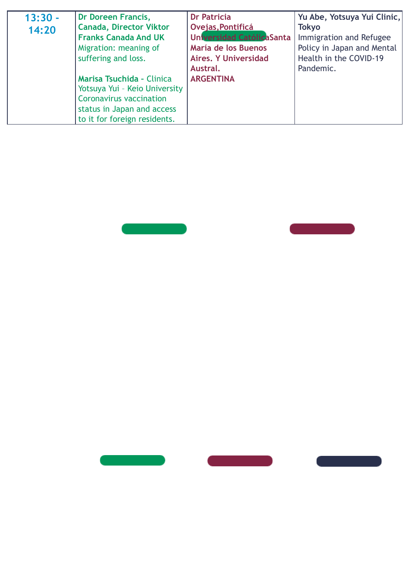| $13:30 -$ | Dr Doreen Francis,               | <b>Dr Patricia</b>          | Yu Abe, Yotsuya Yui Clinic, |
|-----------|----------------------------------|-----------------------------|-----------------------------|
| 14:20     | <b>Canada, Director Viktor</b>   | Ovejas, Pontificá           | <b>Tokyo</b>                |
|           | <b>Franks Canada And UK</b>      | Universidad CatólicaSanta   | Immigration and Refugee     |
|           | Migration: meaning of            | María de los Buenos         | Policy in Japan and Mental  |
|           | suffering and loss.              | <b>Aires, Y Universidad</b> | Health in the COVID-19      |
|           |                                  | Austral.                    | Pandemic.                   |
|           | <b>Marisa Tsuchida - Clinica</b> | <b>ARGENTINA</b>            |                             |
|           | Yotsuya Yui - Keio University    |                             |                             |
|           | Coronavirus vaccination          |                             |                             |
|           | status in Japan and access       |                             |                             |
|           | to it for foreign residents.     |                             |                             |





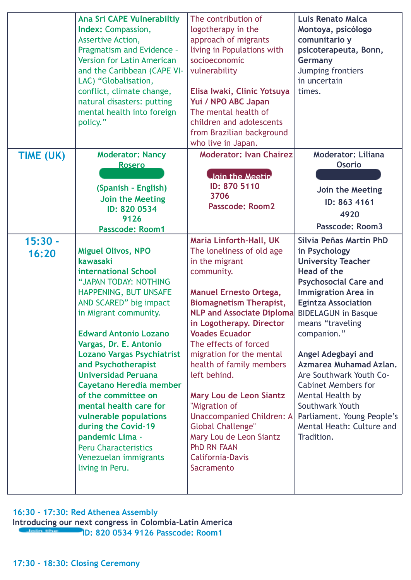|                    | Ana Sri CAPE Vulnerabiltiy<br>Index: Compassion,<br>Assertive Action,<br>Pragmatism and Evidence -<br><b>Version for Latin American</b><br>and the Caribbean (CAPE VI-<br>LAC) "Globalisation,<br>conflict, climate change,<br>natural disasters: putting<br>mental health into foreign<br>policy."                                                                                                                                                                                                                                               | The contribution of<br>logotherapy in the<br>approach of migrants<br>living in Populations with<br>socioeconomic<br>vulnerability<br>Elisa Iwaki, Clinic Yotsuya<br>Yui / NPO ABC Japan<br>The mental health of<br>children and adolescents                                                                                                                                                                                                                                                                                                                    | Luis Renato Malca<br>Montoya, psicólogo<br>comunitario y<br>psicoterapeuta, Bonn,<br>Germany<br>Jumping frontiers<br>in uncertain<br>times.                                                                                                                                                                                                                                                                                                                                |
|--------------------|---------------------------------------------------------------------------------------------------------------------------------------------------------------------------------------------------------------------------------------------------------------------------------------------------------------------------------------------------------------------------------------------------------------------------------------------------------------------------------------------------------------------------------------------------|----------------------------------------------------------------------------------------------------------------------------------------------------------------------------------------------------------------------------------------------------------------------------------------------------------------------------------------------------------------------------------------------------------------------------------------------------------------------------------------------------------------------------------------------------------------|----------------------------------------------------------------------------------------------------------------------------------------------------------------------------------------------------------------------------------------------------------------------------------------------------------------------------------------------------------------------------------------------------------------------------------------------------------------------------|
|                    |                                                                                                                                                                                                                                                                                                                                                                                                                                                                                                                                                   | from Brazilian background<br>who live in Japan.                                                                                                                                                                                                                                                                                                                                                                                                                                                                                                                |                                                                                                                                                                                                                                                                                                                                                                                                                                                                            |
| TIME (UK)          | <b>Moderator: Nancy</b><br><b>Rosero</b><br>(Spanish - English)<br>Join the Meeting<br>ID: 820 0534<br>9126<br>Passcode: Room1                                                                                                                                                                                                                                                                                                                                                                                                                    | <b>Moderator: Ivan Chairez</b><br>Join the Meetin<br>ID: 870 5110<br>3706<br><b>Passcode: Room2</b>                                                                                                                                                                                                                                                                                                                                                                                                                                                            | <b>Moderator: Liliana</b><br><b>Osorio</b><br>Join the Meeting<br>ID: 863 4161<br>4920<br><b>Passcode: Room3</b>                                                                                                                                                                                                                                                                                                                                                           |
| $15:30 -$<br>16:20 | <b>Miguel Olivos, NPO</b><br>kawasaki<br>international School<br>"JAPAN TODAY: NOTHING<br>HAPPENING, BUT UNSAFE<br>AND SCARED" big impact<br>in Migrant community.<br><b>Edward Antonio Lozano</b><br>Vargas, Dr. E. Antonio<br><b>Lozano Vargas Psychiatrist</b><br>and Psychotherapist<br><b>Universidad Peruana</b><br>Cayetano Heredia member<br>of the committee on<br>mental health care for<br>vulnerable populations<br>during the Covid-19<br>pandemic Lima -<br><b>Peru Characteristics</b><br>Venezuelan immigrants<br>living in Peru. | <b>Maria Linforth-Hall, UK</b><br>The loneliness of old age<br>in the migrant<br>community.<br><b>Manuel Ernesto Ortega,</b><br><b>Biomagnetism Therapist,</b><br><b>NLP and Associate Diploma</b><br>in Logotherapy. Director<br><b>Voades Ecuador</b><br>The effects of forced<br>migration for the mental<br>health of family members<br>left behind.<br>Mary Lou de Leon Siantz<br>"Migration of<br><b>Unaccompanied Children: A</b><br><b>Global Challenge"</b><br>Mary Lou de Leon Siantz<br><b>PhD RN FAAN</b><br><b>California-Davis</b><br>Sacramento | Silvia Peñas Martin PhD<br>in Psychology<br><b>University Teacher</b><br>Head of the<br><b>Psychosocial Care and</b><br><b>Immigration Area in</b><br><b>Egintza Association</b><br><b>BIDELAGUN in Basque</b><br>means "traveling<br>companion."<br>Angel Adegbayi and<br>Azmarea Muhamad Azlan.<br>Are Southwark Youth Co-<br><b>Cabinet Members for</b><br>Mental Health by<br>Southwark Youth<br>Parliament. Young People's<br>Mental Heath: Culture and<br>Tradition. |

#### **16:30 - 17:30: Red Athenea Assembly**

**Introducing our next congress in Colombia-Latin America ID: 820 0534 9126 Passcode: Room1**